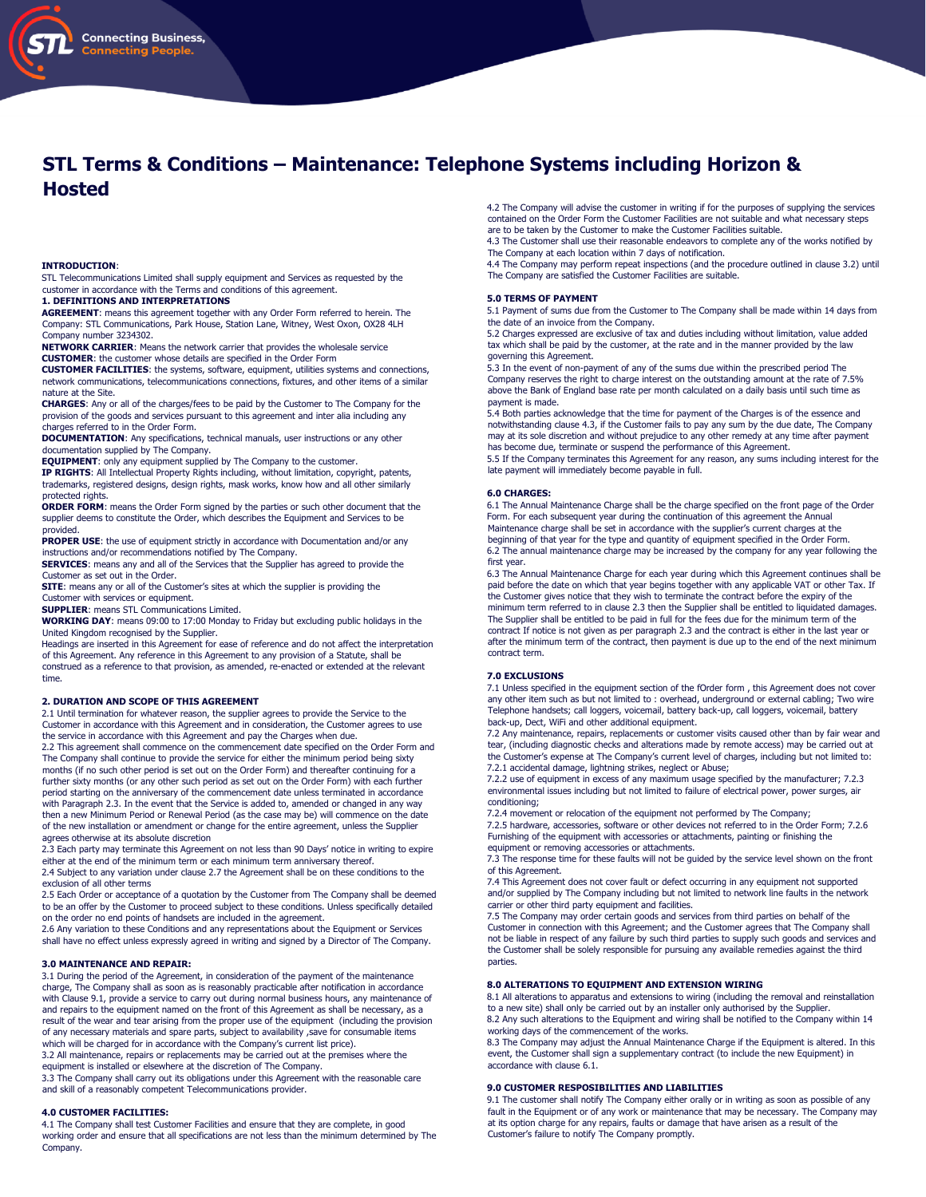# **STL Terms & Conditions – Maintenance: Telephone Systems including Horizon & Hosted**

#### **INTRODUCTION**:

STL Telecommunications Limited shall supply equipment and Services as requested by the customer in accordance with the Terms and conditions of this agreement.

#### **1. DEFINITIONS AND INTERPRETATIONS**

**AGREEMENT**: means this agreement together with any Order Form referred to herein. The Company: STL Communications, Park House, Station Lane, Witney, West Oxon, OX28 4LH Company number 3234302.

**NETWORK CARRIER**: Means the network carrier that provides the wholesale service **CUSTOMER**: the customer whose details are specified in the Order Form

**CUSTOMER FACILITIES**: the systems, software, equipment, utilities systems and connections, network communications, telecommunications connections, fixtures, and other items of a similar nature at the Site.

**CHARGES**: Any or all of the charges/fees to be paid by the Customer to The Company for the provision of the goods and services pursuant to this agreement and inter alia including any charges referred to in the Order Form.

**DOCUMENTATION**: Any specifications, technical manuals, user instructions or any other documentation supplied by The Company.

**EQUIPMENT**: only any equipment supplied by The Company to the customer.

**IP RIGHTS**: All Intellectual Property Rights including, without limitation, copyright, patents, trademarks, registered designs, design rights, mask works, know how and all other similarly protected rights.

**ORDER FORM**: means the Order Form signed by the parties or such other document that the supplier deems to constitute the Order, which describes the Equipment and Services to be provided.

**PROPER USE**: the use of equipment strictly in accordance with Documentation and/or any instructions and/or recommendations notified by The Company.

**SERVICES:** means any and all of the Services that the Supplier has agreed to provide the Customer as set out in the Order.

**SITE**: means any or all of the Customer's sites at which the supplier is providing the Customer with services or equipment.

**SUPPLIER**: means STL Communications Limited.

**WORKING DAY**: means 09:00 to 17:00 Monday to Friday but excluding public holidays in the United Kingdom recognised by the Supplier.

Headings are inserted in this Agreement for ease of reference and do not affect the interpretation of this Agreement. Any reference in this Agreement to any provision of a Statute, shall be construed as a reference to that provision, as amended, re-enacted or extended at the relevant time.

## **2. DURATION AND SCOPE OF THIS AGREEMENT**

2.1 Until termination for whatever reason, the supplier agrees to provide the Service to the Customer in accordance with this Agreement and in consideration, the Customer agrees to use the service in accordance with this Agreement and pay the Charges when due.

2.2 This agreement shall commence on the commencement date specified on the Order Form and The Company shall continue to provide the service for either the minimum period being sixty months (if no such other period is set out on the Order Form) and thereafter continuing for a further sixty months (or any other such period as set out on the Order Form) with each further period starting on the anniversary of the commencement date unless terminated in accordance with Paragraph 2.3. In the event that the Service is added to, amended or changed in any way then a new Minimum Period or Renewal Period (as the case may be) will commence on the date of the new installation or amendment or change for the entire agreement, unless the Supplier agrees otherwise at its absolute discretion

2.3 Each party may terminate this Agreement on not less than 90 Days' notice in writing to expire either at the end of the minimum term or each minimum term anniversary thereof. 2.4 Subject to any variation under clause 2.7 the Agreement shall be on these conditions to the

exclusion of all other terms 2.5 Each Order or acceptance of a quotation by the Customer from The Company shall be deemed to be an offer by the Customer to proceed subject to these conditions. Unless specifically detailed on the order no end points of handsets are included in the agreement.

2.6 Any variation to these Conditions and any representations about the Equipment or Services shall have no effect unless expressly agreed in writing and signed by a Director of The Company.

# **3.0 MAINTENANCE AND REPAIR:**

3.1 During the period of the Agreement, in consideration of the payment of the maintenance charge, The Company shall as soon as is reasonably practicable after notification in accordance with Clause 9.1, provide a service to carry out during normal business hours, any maintenance of and repairs to the equipment named on the front of this Agreement as shall be necessary, as a result of the wear and tear arising from the proper use of the equipment (including the provision of any necessary materials and spare parts, subject to availability ,save for consumable items which will be charged for in accordance with the Company's current list price).

3.2 All maintenance, repairs or replacements may be carried out at the premises where the<br>equipment is installed or elsewhere at the discretion of The Company.<br>3.3 The Company shall carry out its obligations under this Agr

and skill of a reasonably competent Telecommunications provider.

## **4.0 CUSTOMER FACILITIES:**

4.1 The Company shall test Customer Facilities and ensure that they are complete, in good working order and ensure that all specifications are not less than the minimum determined by The Company.

4.2 The Company will advise the customer in writing if for the purposes of supplying the services contained on the Order Form the Customer Facilities are not suitable and what necessary steps are to be taken by the Customer to make the Customer Facilities suitable.

4.3 The Customer shall use their reasonable endeavors to complete any of the works notified by The Company at each location within 7 days of notification.

4.4 The Company may perform repeat inspections (and the procedure outlined in clause 3.2) until The Company are satisfied the Customer Facilities are suitable.

# **5.0 TERMS OF PAYMENT**

5.1 Payment of sums due from the Customer to The Company shall be made within 14 days from the date of an invoice from the Company.

5.2 Charges expressed are exclusive of tax and duties including without limitation, value added tax which shall be paid by the customer, at the rate and in the manner provided by the law governing this Agreement.

5.3 In the event of non-payment of any of the sums due within the prescribed period The Company reserves the right to charge interest on the outstanding amount at the rate of 7.5% above the Bank of England base rate per month calculated on a daily basis until such time as payment is made.

5.4 Both parties acknowledge that the time for payment of the Charges is of the essence and notwithstanding clause 4.3, if the Customer fails to pay any sum by the due date, The Company may at its sole discretion and without prejudice to any other remedy at any time after payment has become due, terminate or suspend the performance of this Agreement. 5.5 If the Company terminates this Agreement for any reason, any sums including interest for the

late payment will immediately become payable in full.

#### **6.0 CHARGES:**

6.1 The Annual Maintenance Charge shall be the charge specified on the front page of the Order Form. For each subsequent year during the continuation of this agreement the Annual Maintenance charge shall be set in accordance with the supplier's current charges at the beginning of that year for the type and quantity of equipment specified in the Order Form. 6.2 The annual maintenance charge may be increased by the company for any year following the first year.

6.3 The Annual Maintenance Charge for each year during which this Agreement continues shall be paid before the date on which that year begins together with any applicable VAT or other Tax. If the Customer gives notice that they wish to terminate the contract before the expiry of the minimum term referred to in clause 2.3 then the Supplier shall be entitled to liquidated damages. The Supplier shall be entitled to be paid in full for the fees due for the minimum term of the contract If notice is not given as per paragraph 2.3 and the contract is either in the last year or after the minimum term of the contract, then payment is due up to the end of the next minimum contract term.

#### **7.0 EXCLUSIONS**

7.1 Unless specified in the equipment section of the fOrder form , this Agreement does not cover any other item such as but not limited to : overhead, underground or external cabling; Two wire Telephone handsets; call loggers, voicemail, battery back-up, call loggers, voicemail, battery back-up, Dect, WiFi and other additional equipment.

7.2 Any maintenance, repairs, replacements or customer visits caused other than by fair wear and tear, (including diagnostic checks and alterations made by remote access) may be carried out at the Customer's expense at The Company's current level of charges, including but not limited to:

7.2.1 accidental damage, lightning strikes, neglect or Abuse; 7.2.2 use of equipment in excess of any maximum usage specified by the manufacturer; 7.2.3 environmental issues including but not limited to failure of electrical power, power surges, air conditioning;

7.2.4 movement or relocation of the equipment not performed by The Company;

7.2.5 hardware, accessories, software or other devices not referred to in the Order Form; 7.2.6 Furnishing of the equipment with accessories or attachments, painting or finishing the equipment or removing accessories or attachments.

7.3 The response time for these faults will not be guided by the service level shown on the front of this Agreement.

7.4 This Agreement does not cover fault or defect occurring in any equipment not supported and/or supplied by The Company including but not limited to network line faults in the network carrier or other third party equipment and facilities.

7.5 The Company may order certain goods and services from third parties on behalf of the Customer in connection with this Agreement; and the Customer agrees that The Company shall not be liable in respect of any failure by such third parties to supply such goods and services and the Customer shall be solely responsible for pursuing any available remedies against the third parties.

#### **8.0 ALTERATIONS TO EQUIPMENT AND EXTENSION WIRING**

8.1 All alterations to apparatus and extensions to wiring (including the removal and reinstallation to a new site) shall only be carried out by an installer only authorised by the Supplier. 8.2 Any such alterations to the Equipment and wiring shall be notified to the Company within 14 working days of the commencement of the works.

8.3 The Company may adjust the Annual Maintenance Charge if the Equipment is altered. In this event, the Customer shall sign a supplementary contract (to include the new Equipment) in accordance with clause 6.1.

## **9.0 CUSTOMER RESPOSIBILITIES AND LIABILITIES**

9.1 The customer shall notify The Company either orally or in writing as soon as possible of any fault in the Equipment or of any work or maintenance that may be necessary. The Company may at its option charge for any repairs, faults or damage that have arisen as a result of the Customer's failure to notify The Company promptly.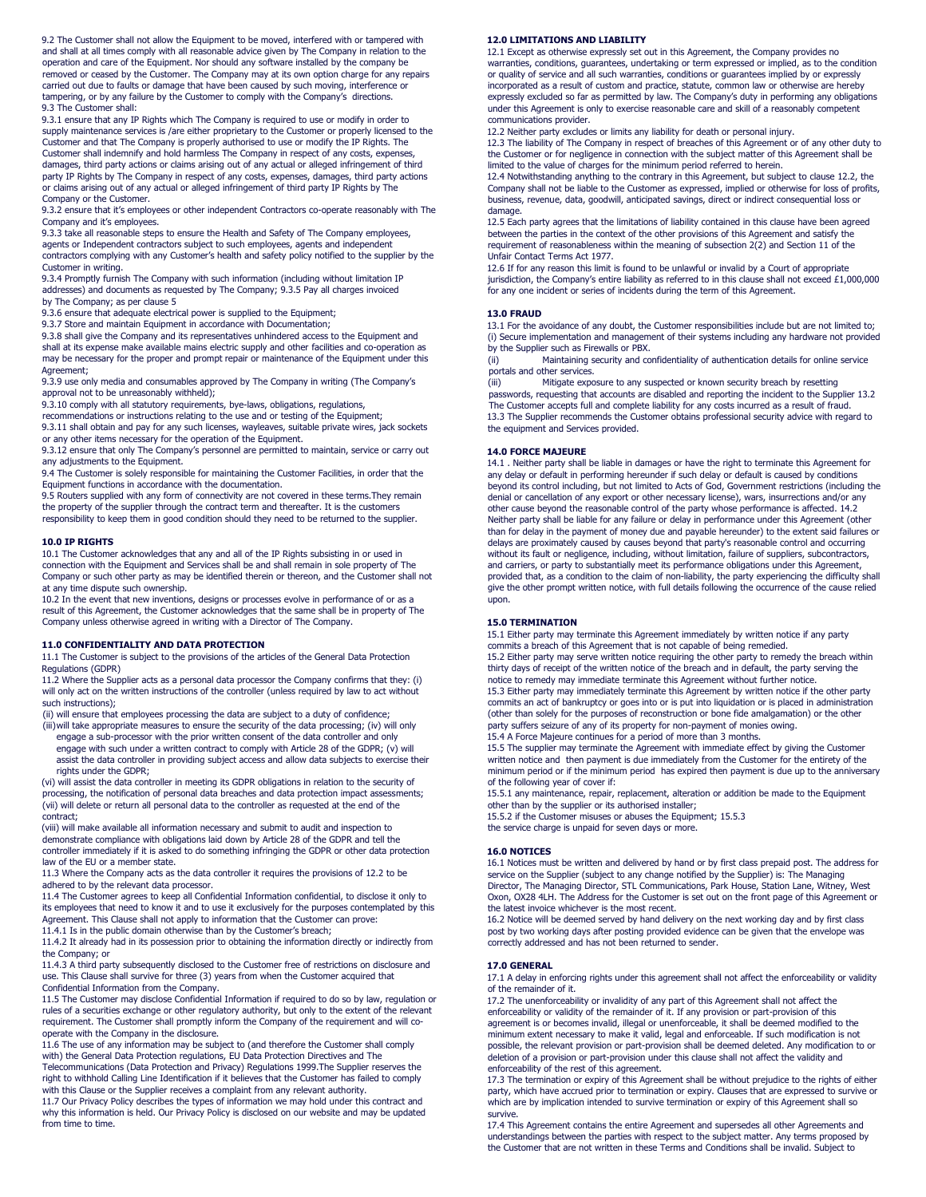9.2 The Customer shall not allow the Equipment to be moved, interfered with or tampered with and shall at all times comply with all reasonable advice given by The Company in relation to the operation and care of the Equipment. Nor should any software installed by the company be removed or ceased by the Customer. The Company may at its own option charge for any repairs carried out due to faults or damage that have been caused by such moving, interference or tampering, or by any failure by the Customer to comply with the Company's directions. 9.3 The Customer shall:

9.3.1 ensure that any IP Rights which The Company is required to use or modify in order to supply maintenance services is /are either proprietary to the Customer or properly licensed to the Customer and that The Company is properly authorised to use or modify the IP Rights. The Customer shall indemnify and hold harmless The Company in respect of any costs, expenses, damages, third party actions or claims arising out of any actual or alleged infringement of third party IP Rights by The Company in respect of any costs, expenses, damages, third party actions or claims arising out of any actual or alleged infringement of third party IP Rights by The Company or the Customer.

9.3.2 ensure that it's employees or other independent Contractors co-operate reasonably with The Company and it's employees.

9.3.3 take all reasonable steps to ensure the Health and Safety of The Company employees, agents or Independent contractors subject to such employees, agents and independent contractors complying with any Customer's health and safety policy notified to the supplier by the Customer in writing.

9.3.4 Promptly furnish The Company with such information (including without limitation IP addresses) and documents as requested by The Company; 9.3.5 Pay all charges invoiced by The Company; as per clause 5

9.3.6 ensure that adequate electrical power is supplied to the Equipment;

9.3.7 Store and maintain Equipment in accordance with Documentation;

9.3.8 shall give the Company and its representatives unhindered access to the Equipment and shall at its expense make available mains electric supply and other facilities and co-operation as

may be necessary for the proper and prompt repair or maintenance of the Equipment under this Agreement;

9.3.9 use only media and consumables approved by The Company in writing (The Company's approval not to be unreasonably withheld);

9.3.10 comply with all statutory requirements, bye-laws, obligations, regulations,

recommendations or instructions relating to the use and or testing of the Equipment;

9.3.11 shall obtain and pay for any such licenses, wayleaves, suitable private wires, jack sockets or any other items necessary for the operation of the Equipment.

9.3.12 ensure that only The Company's personnel are permitted to maintain, service or carry out any adjustments to the Equipment.

9.4 The Customer is solely responsible for maintaining the Customer Facilities, in order that the Equipment functions in accordance with the documentation.

9.5 Routers supplied with any form of connectivity are not covered in these terms.They remain the property of the supplier through the contract term and thereafter. It is the customers responsibility to keep them in good condition should they need to be returned to the supplier.

# **10.0 IP RIGHTS**

10.1 The Customer acknowledges that any and all of the IP Rights subsisting in or used in connection with the Equipment and Services shall be and shall remain in sole property of The Company or such other party as may be identified therein or thereon, and the Customer shall not at any time dispute such ownership.

10.2 In the event that new inventions, designs or processes evolve in performance of or as a result of this Agreement, the Customer acknowledges that the same shall be in property of The Company unless otherwise agreed in writing with a Director of The Company.

# **11.0 CONFIDENTIALITY AND DATA PROTECTION**

11.1 The Customer is subject to the provisions of the articles of the General Data Protection Regulations (GDPR)

11.2 Where the Supplier acts as a personal data processor the Company confirms that they: (i) will only act on the written instructions of the controller (unless required by law to act without such instructions);

(ii) will ensure that employees processing the data are subject to a duty of confidence;

(iii)will take appropriate measures to ensure the security of the data processing; (iv) will only engage a sub-processor with the prior written consent of the data controller and only engage with such under a written contract to comply with Article 28 of the GDPR; (v) will assist the data controller in providing subject access and allow data subjects to exercise their

rights under the GDPR; (vi) will assist the data controller in meeting its GDPR obligations in relation to the security of processing, the notification of personal data breaches and data protection impact assessments; (vii) will delete or return all personal data to the controller as requested at the end of the contract;

(viii) will make available all information necessary and submit to audit and inspection to demonstrate compliance with obligations laid down by Article 28 of the GDPR and tell the controller immediately if it is asked to do something infringing the GDPR or other data protection law of the EU or a member state.

11.3 Where the Company acts as the data controller it requires the provisions of 12.2 to be adhered to by the relevant data processor.

11.4 The Customer agrees to keep all Confidential Information confidential, to disclose it only to its employees that need to know it and to use it exclusively for the purposes contemplated by this Agreement. This Clause shall not apply to information that the Customer can prove: 11.4.1 Is in the public domain otherwise than by the Customer's breach;

11.4.2 It already had in its possession prior to obtaining the information directly or indirectly from the Company; or

11.4.3 A third party subsequently disclosed to the Customer free of restrictions on disclosure and use. This Clause shall survive for three (3) years from when the Customer acquired that

Confidential Information from the Company. 11.5 The Customer may disclose Confidential Information if required to do so by law, regulation or rules of a securities exchange or other regulatory authority, but only to the extent of the relevant requirement. The Customer shall promptly inform the Company of the requirement and will cooperate with the Company in the disclosure.

11.6 The use of any information may be subject to (and therefore the Customer shall comply with) the General Data Protection regulations, EU Data Protection Directives and The Telecommunications (Data Protection and Privacy) Regulations 1999.The Supplier reserves the

right to withhold Calling Line Identification if it believes that the Customer has failed to comply with this Clause or the Supplier receives a complaint from any relevant authority.

11.7 Our Privacy Policy describes the types of information we may hold under this contract and why this information is held. Our Privacy Policy is disclosed on our website and may be updated from time to time.

# **12.0 LIMITATIONS AND LIABILITY**

12.1 Except as otherwise expressly set out in this Agreement, the Company provides no warranties, conditions, guarantees, undertaking or term expressed or implied, as to the condition or quality of service and all such warranties, conditions or guarantees implied by or expressly incorporated as a result of custom and practice, statute, common law or otherwise are hereby expressly excluded so far as permitted by law. The Company's duty in performing any obligations under this Agreement is only to exercise reasonable care and skill of a reasonably competent communications provider.

12.2 Neither party excludes or limits any liability for death or personal injury.

12.3 The liability of The Company in respect of breaches of this Agreement or of any other duty to the Customer or for negligence in connection with the subject matter of this Agreement shall be limited to the value of charges for the minimum period referred to herein.

12.4 Notwithstanding anything to the contrary in this Agreement, but subject to clause 12.2, the Company shall not be liable to the Customer as expressed, implied or otherwise for loss of profits, business, revenue, data, goodwill, anticipated savings, direct or indirect consequential loss or damage.

12.5 Each party agrees that the limitations of liability contained in this clause have been agreed between the parties in the context of the other provisions of this Agreement and satisfy the requirement of reasonableness within the meaning of subsection 2(2) and Section 11 of the Unfair Contact Terms Act 1977.

12.6 If for any reason this limit is found to be unlawful or invalid by a Court of appropriate jurisdiction, the Company's entire liability as referred to in this clause shall not exceed £1,000,000 for any one incident or series of incidents during the term of this Agreement.

## **13.0 FRAUD**

13.1 For the avoidance of any doubt, the Customer responsibilities include but are not limited to; (i) Secure implementation and management of their systems including any hardware not provided by the Supplier such as Firewalls or PBX.

(ii) Maintaining security and confidentiality of authentication details for online service portals and other services.

(iii) Mitigate exposure to any suspected or known security breach by resetting passwords, requesting that accounts are disabled and reporting the incident to the Supplier 13.2 The Customer accepts full and complete liability for any costs incurred as a result of fraud. 13.3 The Supplier recommends the Customer obtains professional security advice with regard to the equipment and Services provided.

# **14.0 FORCE MAJEURE**

14.1 . Neither party shall be liable in damages or have the right to terminate this Agreement for any delay or default in performing hereunder if such delay or default is caused by conditions beyond its control including, but not limited to Acts of God, Government restrictions (including the denial or cancellation of any export or other necessary license), wars, insurrections and/or any other cause beyond the reasonable control of the party whose performance is affected. 14.2<br>Neither party shall be liable for any failure or delay in performance under this Agreement (other<br>than for delay in the payment of delays are proximately caused by causes beyond that party's reasonable control and occurring without its fault or negligence, including, without limitation, failure of suppliers, subcontractors, and carriers, or party to substantially meet its performance obligations under this Agreement, provided that, as a condition to the claim of non-liability, the party experiencing the difficulty shall give the other prompt written notice, with full details following the occurrence of the cause relied upon.

# **15.0 TERMINATION**

15.1 Either party may terminate this Agreement immediately by written notice if any party commits a breach of this Agreement that is not capable of being remedied. 15.2 Either party may serve written notice requiring the other party to remedy the breach within thirty days of receipt of the written notice of the breach and in default, the party serving the notice to remedy may immediate terminate this Agreement without further notice. 15.3 Either party may immediately terminate this Agreement by written notice if the other party commits an act of bankruptcy or goes into or is put into liquidation or is placed in administration (other than solely for the purposes of reconstruction or bone fide amalgamation) or the other party suffers seizure of any of its property for non-payment of monies owing.

15.4 A Force Majeure continues for a period of more than 3 months.

15.5 The supplier may terminate the Agreement with immediate effect by giving the Customer written notice and then payment is due immediately from the Customer for the entirety of the minimum period or if the minimum period has expired then payment is due up to the anniversary of the following year of cover if:

15.5.1 any maintenance, repair, replacement, alteration or addition be made to the Equipment other than by the supplier or its authorised installer;

15.5.2 if the Customer misuses or abuses the Equipment; 15.5.3

the service charge is unpaid for seven days or more.

## **16.0 NOTICES**

16.1 Notices must be written and delivered by hand or by first class prepaid post. The address for service on the Supplier (subject to any change notified by the Supplier) is: The Managing Director, The Managing Director, STL Communications, Park House, Station Lane, Witney, West Oxon, OX28 4LH. The Address for the Customer is set out on the front page of this Agreement or the latest invoice whichever is the most recent.

16.2 Notice will be deemed served by hand delivery on the next working day and by first class post by two working days after posting provided evidence can be given that the envelope was correctly addressed and has not been returned to sender.

# **17.0 GENERAL**

17.1 A delay in enforcing rights under this agreement shall not affect the enforceability or validity of the remainder of it.

17.2 The unenforceability or invalidity of any part of this Agreement shall not affect the enforceability or validity of the remainder of it. If any provision or part-provision of this agreement is or becomes invalid, illegal or unenforceable, it shall be deemed modified to the minimum extent necessary to make it valid, legal and enforceable. If such modification is not possible, the relevant provision or part-provision shall be deemed deleted. Any modification to or deletion of a provision or part-provision under this clause shall not affect the validity and enforceability of the rest of this agreement.

17.3 The termination or expiry of this Agreement shall be without prejudice to the rights of either party, which have accrued prior to termination or expiry. Clauses that are expressed to survive or which are by implication intended to survive termination or expiry of this Agreement shall so survive.

17.4 This Agreement contains the entire Agreement and supersedes all other Agreements and understandings between the parties with respect to the subject matter. Any terms proposed by the Customer that are not written in these Terms and Conditions shall be invalid. Subject to